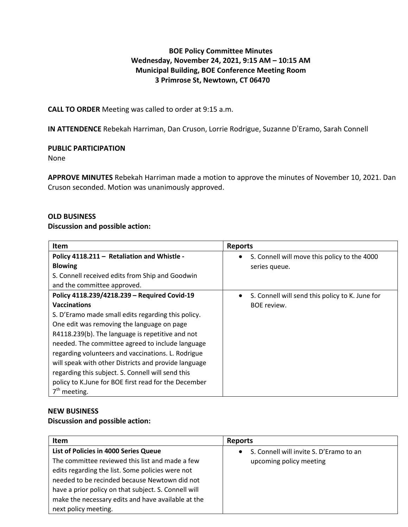# **BOE Policy Committee Minutes Wednesday, November 24, 2021, 9:15 AM – 10:15 AM Municipal Building, BOE Conference Meeting Room 3 Primrose St, Newtown, CT 06470**

**CALL TO ORDER** Meeting was called to order at 9:15 a.m.

**IN ATTENDENCE** Rebekah Harriman, Dan Cruson, Lorrie Rodrigue, Suzanne D'Eramo, Sarah Connell

## **PUBLIC PARTICIPATION**

None

**APPROVE MINUTES** Rebekah Harriman made a motion to approve the minutes of November 10, 2021. Dan Cruson seconded. Motion was unanimously approved.

## **OLD BUSINESS**

## **Discussion and possible action:**

| <b>Item</b>                                          | <b>Reports</b>                                               |
|------------------------------------------------------|--------------------------------------------------------------|
| Policy 4118.211 - Retaliation and Whistle -          | S. Connell will move this policy to the 4000                 |
| <b>Blowing</b>                                       | series queue.                                                |
| S. Connell received edits from Ship and Goodwin      |                                                              |
| and the committee approved.                          |                                                              |
| Policy 4118.239/4218.239 - Required Covid-19         | S. Connell will send this policy to K. June for<br>$\bullet$ |
| <b>Vaccinations</b>                                  | <b>BOE</b> review.                                           |
| S. D'Eramo made small edits regarding this policy.   |                                                              |
| One edit was removing the language on page           |                                                              |
| R4118.239(b). The language is repetitive and not     |                                                              |
| needed. The committee agreed to include language     |                                                              |
| regarding volunteers and vaccinations. L. Rodrigue   |                                                              |
| will speak with other Districts and provide language |                                                              |
| regarding this subject. S. Connell will send this    |                                                              |
| policy to K.June for BOE first read for the December |                                                              |
| $7th$ meeting.                                       |                                                              |

#### **NEW BUSINESS**

## **Discussion and possible action:**

| <b>Reports</b>                                                     |
|--------------------------------------------------------------------|
| S. Connell will invite S. D'Eramo to an<br>upcoming policy meeting |
|                                                                    |